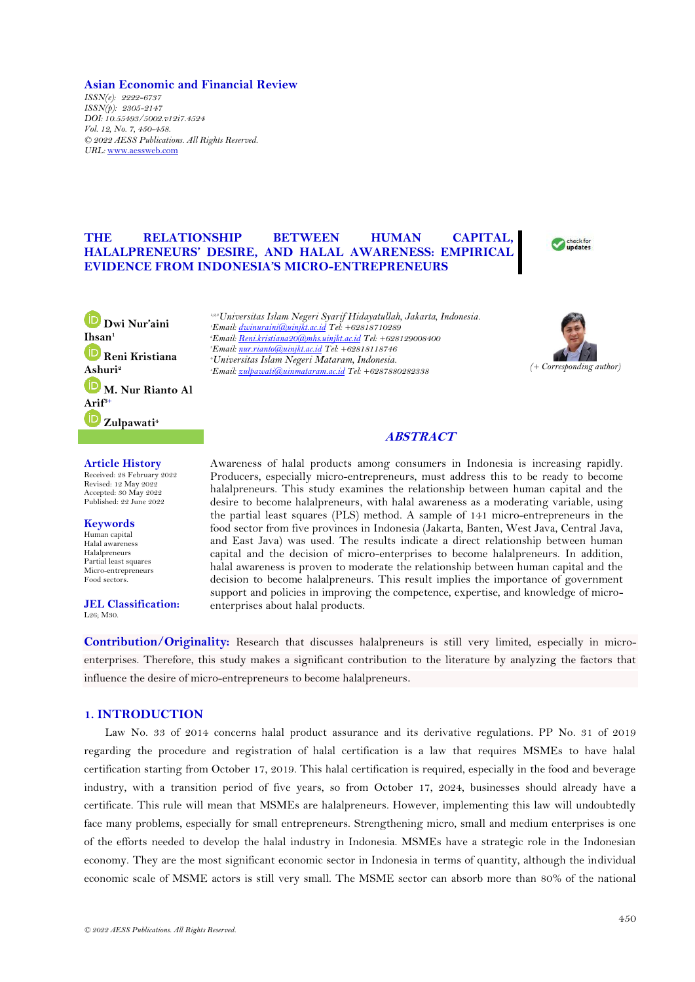### **Asian Economic and Financial Review**

*ISSN(e): 2222-6737 ISSN(p): 2305-2147 DOI: 10.55493/5002.v12i7.4524 Vol. 12, No. 7, 450-458. © 2022 AESS Publications. All Rights Reserved. URL:* [www.aessweb.com](http://www.aessweb.com/)

# **THE RELATIONSHIP BETWEEN HUMAN CAPITAL, HALALPRENEURS' DESIRE, AND HALAL AWARENESS: EMPIRICAL EVIDENCE FROM INDONESIA'S MICRO-ENTREPRENEURS**



**[D](https://orcid.org/0000-0001-6958-1278)wi Nur'aini Ihsan<sup>1</sup> [R](https://orcid.org/0000-0001-6477-8215)eni Kristiana Ashuri<sup>2</sup> [M](https://orcid.org/0000-0002-5731-1411). Nur Rianto Al [Arif](https://orcid.org/0000-0002-9878-5349)3+ Zulpawati<sup>4</sup>**

**Article History**

Received: 28 February 2022 Revised: 12 May 2022 Accepted: 30 May 2022 Published: 22 June 2022

**Keywords** Human capital Halal awareness Halalpreneurs Partial least squares Micro-entrepreneurs Food sectors.

**JEL Classification:** L26; M30.

*1,2,3Universitas Islam Negeri Syarif Hidayatullah, Jakarta, Indonesia. Email[: dwinuraini@uinjkt.ac.id](mailto:dwinuraini@uinjkt.ac.id) Tel: +62818710289 Email[: Reni.kristiana20@mhs.uinjkt.ac.id](mailto:Reni.kristiana20@mhs.uinjkt.ac.id) Tel: +628129008400 Email[: nur.rianto@uinjkt.ac.id](mailto:nur.rianto@uinjkt.ac.id) Tel: +62818118746 Universitas Islam Negeri Mataram, Indonesia. Email[: zulpawati@uinmataram.ac.id](mailto:zulpawati@uinmataram.ac.id) Tel: +6287880282338 (+ Corresponding author)*



# **ABSTRACT**

Awareness of halal products among consumers in Indonesia is increasing rapidly. Producers, especially micro-entrepreneurs, must address this to be ready to become halalpreneurs. This study examines the relationship between human capital and the desire to become halalpreneurs, with halal awareness as a moderating variable, using the partial least squares (PLS) method. A sample of 141 micro-entrepreneurs in the food sector from five provinces in Indonesia (Jakarta, Banten, West Java, Central Java, and East Java) was used. The results indicate a direct relationship between human capital and the decision of micro-enterprises to become halalpreneurs. In addition, halal awareness is proven to moderate the relationship between human capital and the decision to become halalpreneurs. This result implies the importance of government support and policies in improving the competence, expertise, and knowledge of microenterprises about halal products.

**Contribution/Originality:** Research that discusses halalpreneurs is still very limited, especially in microenterprises. Therefore, this study makes a significant contribution to the literature by analyzing the factors that influence the desire of micro-entrepreneurs to become halalpreneurs.

### **1. INTRODUCTION**

Law No. 33 of 2014 concerns halal product assurance and its derivative regulations. PP No. 31 of 2019 regarding the procedure and registration of halal certification is a law that requires MSMEs to have halal certification starting from October 17, 2019. This halal certification is required, especially in the food and beverage industry, with a transition period of five years, so from October 17, 2024, businesses should already have a certificate. This rule will mean that MSMEs are halalpreneurs. However, implementing this law will undoubtedly face many problems, especially for small entrepreneurs. Strengthening micro, small and medium enterprises is one of the efforts needed to develop the halal industry in Indonesia. MSMEs have a strategic role in the Indonesian economy. They are the most significant economic sector in Indonesia in terms of quantity, although the individual economic scale of MSME actors is still very small. The MSME sector can absorb more than 80% of the national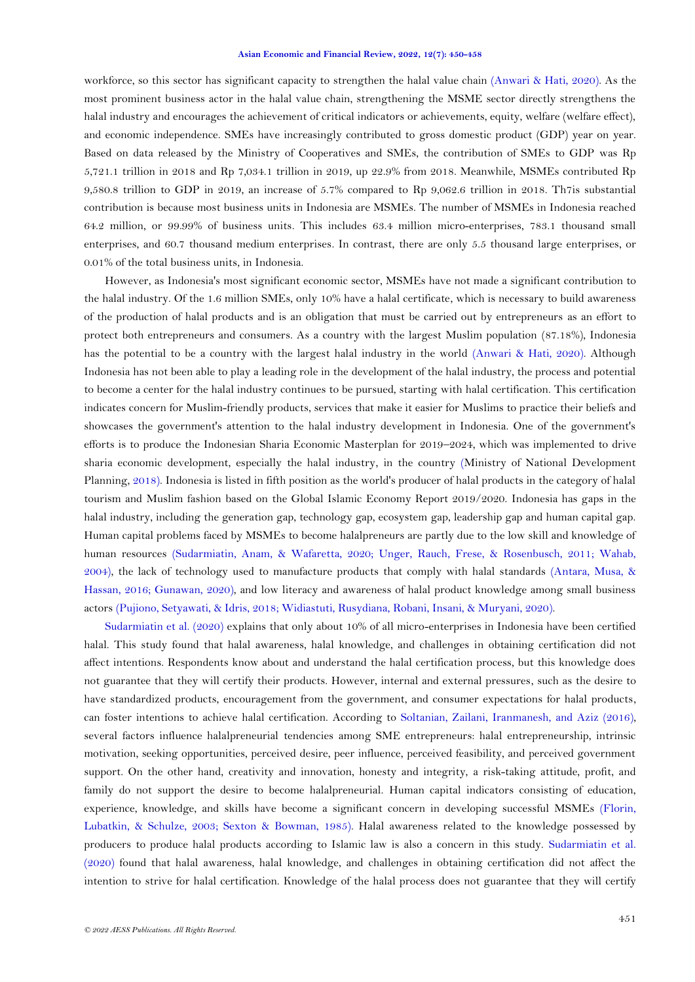#### **Asian Economic and Financial Review, 2022, 12(7): 450-458**

workforce, so this sector has significant capacity to strengthen the halal value chain [\(Anwari & Hati, 2020\)](#page-7-0). As the most prominent business actor in the halal value chain, strengthening the MSME sector directly strengthens the halal industry and encourages the achievement of critical indicators or achievements, equity, welfare (welfare effect), and economic independence. SMEs have increasingly contributed to gross domestic product (GDP) year on year. Based on data released by the Ministry of Cooperatives and SMEs, the contribution of SMEs to GDP was Rp 5,721.1 trillion in 2018 and Rp 7,034.1 trillion in 2019, up 22.9% from 2018. Meanwhile, MSMEs contributed Rp 9,580.8 trillion to GDP in 2019, an increase of 5.7% compared to Rp 9,062.6 trillion in 2018. Th7is substantial contribution is because most business units in Indonesia are MSMEs. The number of MSMEs in Indonesia reached 64.2 million, or 99.99% of business units. This includes 63.4 million micro-enterprises, 783.1 thousand small enterprises, and 60.7 thousand medium enterprises. In contrast, there are only 5.5 thousand large enterprises, or 0.01% of the total business units, in Indonesia.

However, as Indonesia's most significant economic sector, MSMEs have not made a significant contribution to the halal industry. Of the 1.6 million SMEs, only 10% have a halal certificate, which is necessary to build awareness of the production of halal products and is an obligation that must be carried out by entrepreneurs as an effort to protect both entrepreneurs and consumers. As a country with the largest Muslim population (87.18%), Indonesia has the potential to be a country with the largest halal industry in the world [\(Anwari & Hati, 2020\)](#page-7-0). Although Indonesia has not been able to play a leading role in the development of the halal industry, the process and potential to become a center for the halal industry continues to be pursued, starting with halal certification. This certification indicates concern for Muslim-friendly products, services that make it easier for Muslims to practice their beliefs and showcases the government's attention to the halal industry development in Indonesia. One of the government's efforts is to produce the Indonesian Sharia Economic Masterplan for 2019–2024, which was implemented to drive sharia economic development, especially the halal industry, in the country [\(Ministry of National Development](#page-7-1)  [Planning,](#page-7-1) 2018). Indonesia is listed in fifth position as the world's producer of halal products in the category of halal tourism and Muslim fashion based on the Global Islamic Economy Report 2019/2020. Indonesia has gaps in the halal industry, including the generation gap, technology gap, ecosystem gap, leadership gap and human capital gap. Human capital problems faced by MSMEs to become halalpreneurs are partly due to the low skill and knowledge of human resources [\(Sudarmiatin, Anam, & Wafaretta, 2020;](#page-8-0) [Unger, Rauch, Frese, & Rosenbusch, 2011;](#page-8-1) [Wahab,](#page-8-2)  [2004\)](#page-8-2), the lack of technology used to manufacture products that comply with halal standards [\(Antara, Musa, &](#page-7-2)  [Hassan, 2016;](#page-7-2) [Gunawan, 2020\)](#page-7-3), and low literacy and awareness of halal product knowledge among small business actors [\(Pujiono, Setyawati, & Idris, 2018;](#page-7-4) [Widiastuti, Rusydiana, Robani, Insani, & Muryani, 2020\)](#page-8-3).

[Sudarmiatin et al. \(2020\)](#page-8-0) explains that only about 10% of all micro-enterprises in Indonesia have been certified halal. This study found that halal awareness, halal knowledge, and challenges in obtaining certification did not affect intentions. Respondents know about and understand the halal certification process, but this knowledge does not guarantee that they will certify their products. However, internal and external pressures, such as the desire to have standardized products, encouragement from the government, and consumer expectations for halal products, can foster intentions to achieve halal certification. According to [Soltanian, Zailani, Iranmanesh, and Aziz \(2016\)](#page-8-4), several factors influence halalpreneurial tendencies among SME entrepreneurs: halal entrepreneurship, intrinsic motivation, seeking opportunities, perceived desire, peer influence, perceived feasibility, and perceived government support. On the other hand, creativity and innovation, honesty and integrity, a risk-taking attitude, profit, and family do not support the desire to become halalpreneurial. Human capital indicators consisting of education, experience, knowledge, and skills have become a significant concern in developing successful MSMEs [\(Florin,](#page-7-5)  [Lubatkin, & Schulze, 2003;](#page-7-5) [Sexton & Bowman, 1985\)](#page-8-5). Halal awareness related to the knowledge possessed by producers to produce halal products according to Islamic law is also a concern in this study. [Sudarmiatin et al.](#page-8-0)  [\(2020\)](#page-8-0) found that halal awareness, halal knowledge, and challenges in obtaining certification did not affect the intention to strive for halal certification. Knowledge of the halal process does not guarantee that they will certify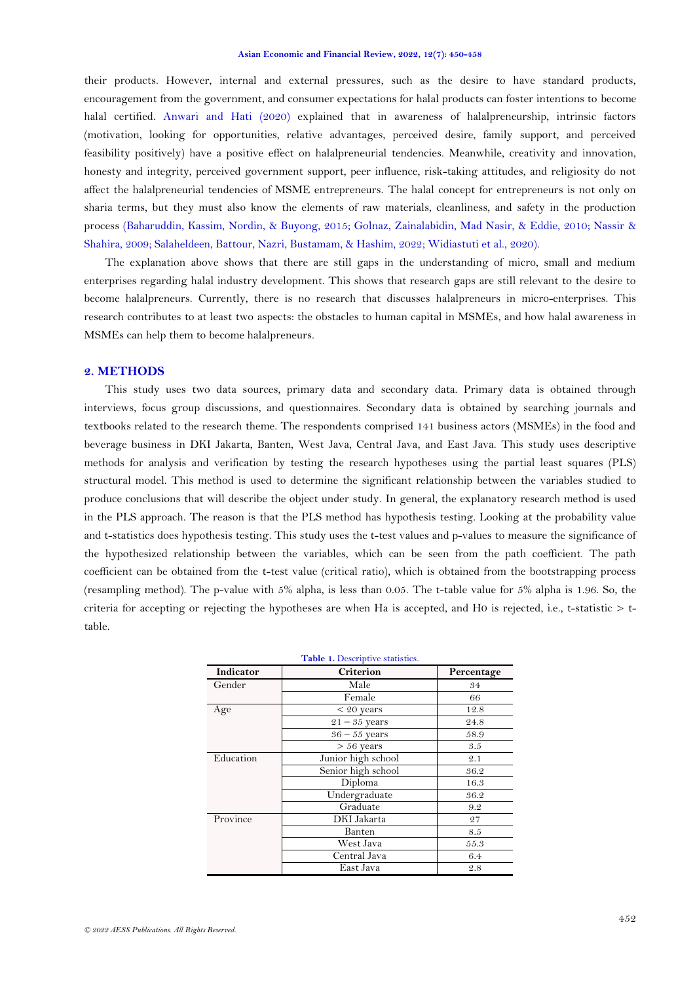their products. However, internal and external pressures, such as the desire to have standard products, encouragement from the government, and consumer expectations for halal products can foster intentions to become halal certified. [Anwari and Hati \(2020\)](#page-7-0) explained that in awareness of halalpreneurship, intrinsic factors (motivation, looking for opportunities, relative advantages, perceived desire, family support, and perceived feasibility positively) have a positive effect on halalpreneurial tendencies. Meanwhile, creativity and innovation, honesty and integrity, perceived government support, peer influence, risk-taking attitudes, and religiosity do not affect the halalpreneurial tendencies of MSME entrepreneurs. The halal concept for entrepreneurs is not only on sharia terms, but they must also know the elements of raw materials, cleanliness, and safety in the production process [\(Baharuddin, Kassim, Nordin, & Buyong, 2015;](#page-7-6) [Golnaz, Zainalabidin, Mad Nasir, & Eddie, 2010;](#page-7-7) [Nassir &](#page-7-8)  [Shahira, 2009;](#page-7-8) [Salaheldeen, Battour, Nazri, Bustamam, & Hashim, 2022;](#page-8-6) [Widiastuti et al., 2020\)](#page-8-3).

The explanation above shows that there are still gaps in the understanding of micro, small and medium enterprises regarding halal industry development. This shows that research gaps are still relevant to the desire to become halalpreneurs. Currently, there is no research that discusses halalpreneurs in micro-enterprises. This research contributes to at least two aspects: the obstacles to human capital in MSMEs, and how halal awareness in MSMEs can help them to become halalpreneurs.

#### **2. METHODS**

This study uses two data sources, primary data and secondary data. Primary data is obtained through interviews, focus group discussions, and questionnaires. Secondary data is obtained by searching journals and textbooks related to the research theme. The respondents comprised 141 business actors (MSMEs) in the food and beverage business in DKI Jakarta, Banten, West Java, Central Java, and East Java. This study uses descriptive methods for analysis and verification by testing the research hypotheses using the partial least squares (PLS) structural model. This method is used to determine the significant relationship between the variables studied to produce conclusions that will describe the object under study. In general, the explanatory research method is used in the PLS approach. The reason is that the PLS method has hypothesis testing. Looking at the probability value and t-statistics does hypothesis testing. This study uses the t-test values and p-values to measure the significance of the hypothesized relationship between the variables, which can be seen from the path coefficient. The path coefficient can be obtained from the t-test value (critical ratio), which is obtained from the bootstrapping process (resampling method). The p-value with 5% alpha, is less than 0.05. The t-table value for 5% alpha is 1.96. So, the criteria for accepting or rejecting the hypotheses are when Ha is accepted, and H0 is rejected, i.e., t-statistic  $> t$ table.

<span id="page-2-0"></span>

| Table 1. Descriptive statistics. |                    |            |  |  |  |
|----------------------------------|--------------------|------------|--|--|--|
| Indicator                        | <b>Criterion</b>   | Percentage |  |  |  |
| Gender                           | Male               | 34         |  |  |  |
|                                  | Female             | 66         |  |  |  |
| Age                              | $< 20$ years       | 12.8       |  |  |  |
|                                  | $21 - 35$ years    | 24.8       |  |  |  |
|                                  | $36 - 55$ years    | 58.9       |  |  |  |
|                                  | $> 56$ years       | 3.5        |  |  |  |
| Education                        | Junior high school | 2.1        |  |  |  |
|                                  | Senior high school | 36.2       |  |  |  |
|                                  | Diploma            | 16.3       |  |  |  |
|                                  | Undergraduate      | 36.2       |  |  |  |
|                                  | Graduate           | 9.2        |  |  |  |
| Province                         | DKI Jakarta        | 27         |  |  |  |
|                                  | Banten             | 8.5        |  |  |  |
|                                  | West Java          | 55.3       |  |  |  |
|                                  | Central Java       | 6.4        |  |  |  |
|                                  | East Java          | 2.8        |  |  |  |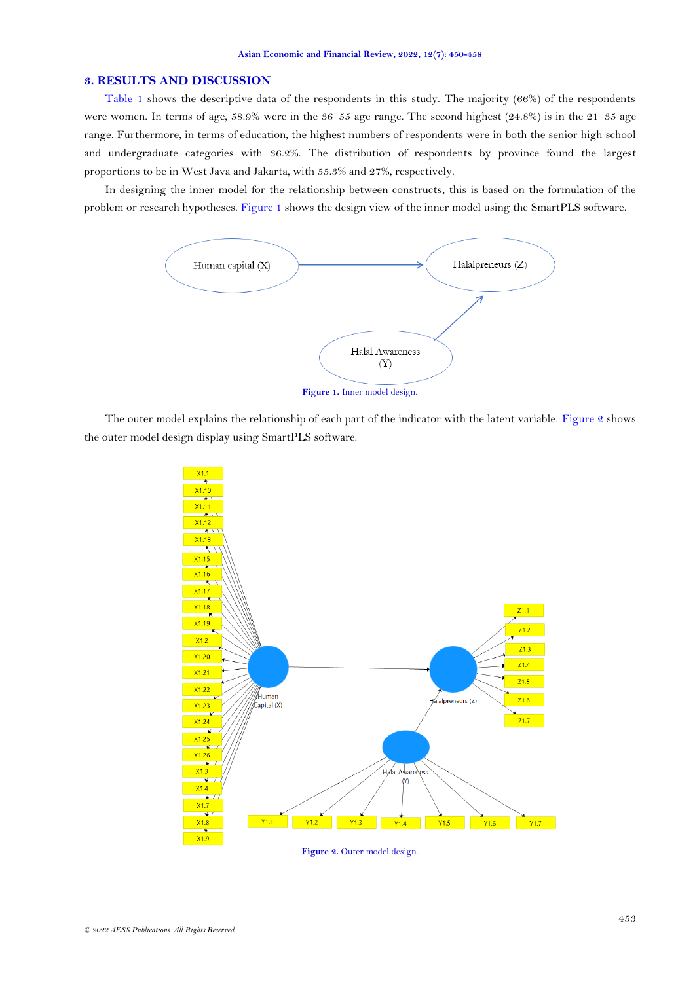### **3. RESULTS AND DISCUSSION**

[Table 1](#page-2-0) shows the descriptive data of the respondents in this study. The majority (66%) of the respondents were women. In terms of age, 58.9% were in the 36–55 age range. The second highest (24.8%) is in the 21–35 age range. Furthermore, in terms of education, the highest numbers of respondents were in both the senior high school and undergraduate categories with 36.2%. The distribution of respondents by province found the largest proportions to be in West Java and Jakarta, with 55.3% and 27%, respectively.

In designing the inner model for the relationship between constructs, this is based on the formulation of the problem or research hypotheses. [Figure 1](#page-3-0) shows the design view of the inner model using the SmartPLS software.



**Figure 1.** Inner model design.

<span id="page-3-0"></span>The outer model explains the relationship of each part of the indicator with the latent variable. [Figure 2](#page-3-1) shows the outer model design display using SmartPLS software.



<span id="page-3-1"></span>Figure 2. Outer model design.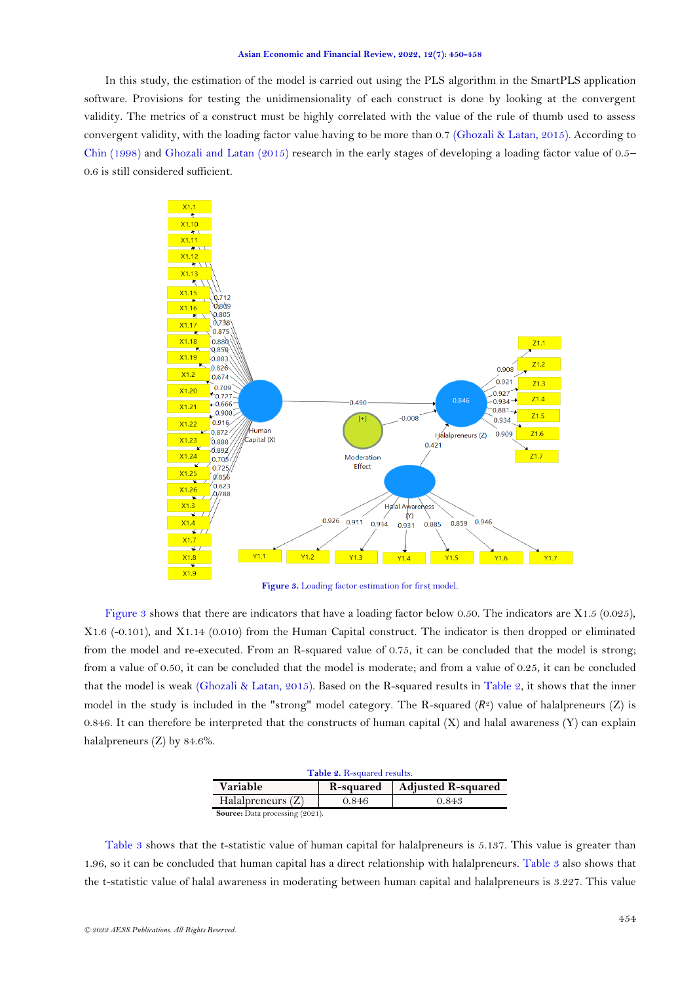#### **Asian Economic and Financial Review, 2022, 12(7): 450-458**

In this study, the estimation of the model is carried out using the PLS algorithm in the SmartPLS application software. Provisions for testing the unidimensionality of each construct is done by looking at the convergent validity. The metrics of a construct must be highly correlated with the value of the rule of thumb used to assess convergent validity, with the loading factor value having to be more than 0.7 [\(Ghozali & Latan, 2015\)](#page-7-9). According to [Chin \(1998\)](#page-7-10) and [Ghozali and Latan \(2015\)](#page-7-9) research in the early stages of developing a loading factor value of  $0.5-$ 0.6 is still considered sufficient.



**Figure 3.** Loading factor estimation for first model.

<span id="page-4-0"></span>[Figure 3](#page-4-0) shows that there are indicators that have a loading factor below 0.50. The indicators are X1.5 (0.025), X1.6 (-0.101), and X1.14 (0.010) from the Human Capital construct. The indicator is then dropped or eliminated from the model and re-executed. From an R-squared value of 0.75, it can be concluded that the model is strong; from a value of 0.50, it can be concluded that the model is moderate; and from a value of 0.25, it can be concluded that the model is weak [\(Ghozali & Latan, 2015\)](#page-7-9). Based on the R-squared results in [Table 2,](#page-4-1) it shows that the inner model in the study is included in the "strong" model category. The R-squared  $(R^2)$  value of halalpreneurs  $(Z)$  is 0.846. It can therefore be interpreted that the constructs of human capital  $(X)$  and halal awareness  $(Y)$  can explain halalpreneurs (Z) by 84.6%.

| Table 2. R-squared results.            |           |                           |  |  |  |  |
|----------------------------------------|-----------|---------------------------|--|--|--|--|
| Variable                               | R-squared | <b>Adjusted R-squared</b> |  |  |  |  |
| Halalpreneurs $(Z)$                    | 0.846     | 0.843                     |  |  |  |  |
| <b>Source:</b> Data processing (2021). |           |                           |  |  |  |  |

<span id="page-4-1"></span>[Table 3](#page-5-0) shows that the t-statistic value of human capital for halalpreneurs is 5.137. This value is greater than 1.96, so it can be concluded that human capital has a direct relationship with halalpreneurs. [Table 3](#page-5-0) also shows that the t-statistic value of halal awareness in moderating between human capital and halalpreneurs is 3.227. This value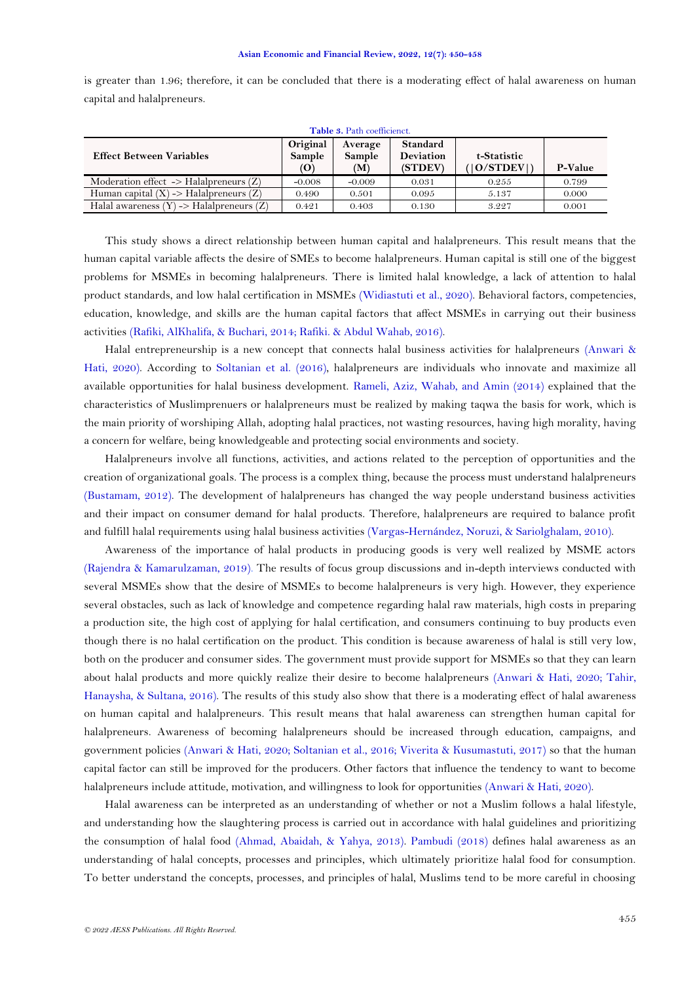is greater than 1.96; therefore, it can be concluded that there is a moderating effect of halal awareness on human capital and halalpreneurs.

<span id="page-5-0"></span>

| Table 3. Path coefficienct.                            |                                    |                          |                                         |                            |         |  |  |  |
|--------------------------------------------------------|------------------------------------|--------------------------|-----------------------------------------|----------------------------|---------|--|--|--|
| <b>Effect Between Variables</b>                        | Original<br>Sample<br>$\mathbf{O}$ | Average<br>Sample<br>(M) | <b>Standard</b><br>Deviation<br>(STDEV) | t-Statistic<br>( O/STDEV ) | P-Value |  |  |  |
| Moderation effect $\rightarrow$ Halalpreneurs (Z)      | $-0.008$                           | $-0.009$                 | 0.031                                   | 0.255                      | 0.799   |  |  |  |
| Human capital $(X) \rightarrow$ Halalpreneurs $(Z)$    | 0.490                              | 0.501                    | 0.095                                   | 5.137                      | 0.000   |  |  |  |
| Halal awareness $(Y) \rightarrow H$ alalpreneurs $(Z)$ | 0.421                              | 0.403                    | 0.130                                   | 3.227                      | 0.001   |  |  |  |

This study shows a direct relationship between human capital and halalpreneurs. This result means that the human capital variable affects the desire of SMEs to become halalpreneurs. Human capital is still one of the biggest problems for MSMEs in becoming halalpreneurs. There is limited halal knowledge, a lack of attention to halal product standards, and low halal certification in MSMEs [\(Widiastuti et al., 2020\)](#page-8-3). Behavioral factors, competencies, education, knowledge, and skills are the human capital factors that affect MSMEs in carrying out their business activities [\(Rafiki, AlKhalifa, & Buchari, 2014;](#page-8-7) [Rafiki. & Abdul Wahab, 2016\)](#page-8-8).

Halal entrepreneurship is a new concept that connects halal business activities for halalpreneurs [\(Anwari &](#page-7-0)  [Hati, 2020\)](#page-7-0). According to [Soltanian et al. \(2016\)](#page-8-4), halalpreneurs are individuals who innovate and maximize all available opportunities for halal business development. [Rameli, Aziz, Wahab, and Amin \(2014\)](#page-8-9) explained that the characteristics of Muslimprenuers or halalpreneurs must be realized by making taqwa the basis for work, which is the main priority of worshiping Allah, adopting halal practices, not wasting resources, having high morality, having a concern for welfare, being knowledgeable and protecting social environments and society.

Halalpreneurs involve all functions, activities, and actions related to the perception of opportunities and the creation of organizational goals. The process is a complex thing, because the process must understand halalpreneurs [\(Bustamam, 2012\)](#page-7-11). The development of halalpreneurs has changed the way people understand business activities and their impact on consumer demand for halal products. Therefore, halalpreneurs are required to balance profit and fulfill halal requirements using halal business activities [\(Vargas-Hernández, Noruzi, & Sariolghalam, 2010\)](#page-8-10).

Awareness of the importance of halal products in producing goods is very well realized by MSME actors [\(Rajendra & Kamarulzaman, 2019\)](#page-8-11). The results of focus group discussions and in-depth interviews conducted with several MSMEs show that the desire of MSMEs to become halalpreneurs is very high. However, they experience several obstacles, such as lack of knowledge and competence regarding halal raw materials, high costs in preparing a production site, the high cost of applying for halal certification, and consumers continuing to buy products even though there is no halal certification on the product. This condition is because awareness of halal is still very low, both on the producer and consumer sides. The government must provide support for MSMEs so that they can learn about halal products and more quickly realize their desire to become halalpreneurs [\(Anwari & Hati, 2020;](#page-7-0) [Tahir,](#page-8-12)  [Hanaysha, & Sultana, 2016\)](#page-8-12). The results of this study also show that there is a moderating effect of halal awareness on human capital and halalpreneurs. This result means that halal awareness can strengthen human capital for halalpreneurs. Awareness of becoming halalpreneurs should be increased through education, campaigns, and government policies [\(Anwari & Hati, 2020;](#page-7-0) [Soltanian et al., 2016;](#page-8-4) [Viverita & Kusumastuti, 2017\)](#page-8-13) so that the human capital factor can still be improved for the producers. Other factors that influence the tendency to want to become halalpreneurs include attitude, motivation, and willingness to look for opportunities [\(Anwari & Hati, 2020\)](#page-7-0).

Halal awareness can be interpreted as an understanding of whether or not a Muslim follows a halal lifestyle, and understanding how the slaughtering process is carried out in accordance with halal guidelines and prioritizing the consumption of halal food [\(Ahmad, Abaidah, & Yahya, 2013\)](#page-6-0). [Pambudi \(2018\)](#page-7-12) defines halal awareness as an understanding of halal concepts, processes and principles, which ultimately prioritize halal food for consumption. To better understand the concepts, processes, and principles of halal, Muslims tend to be more careful in choosing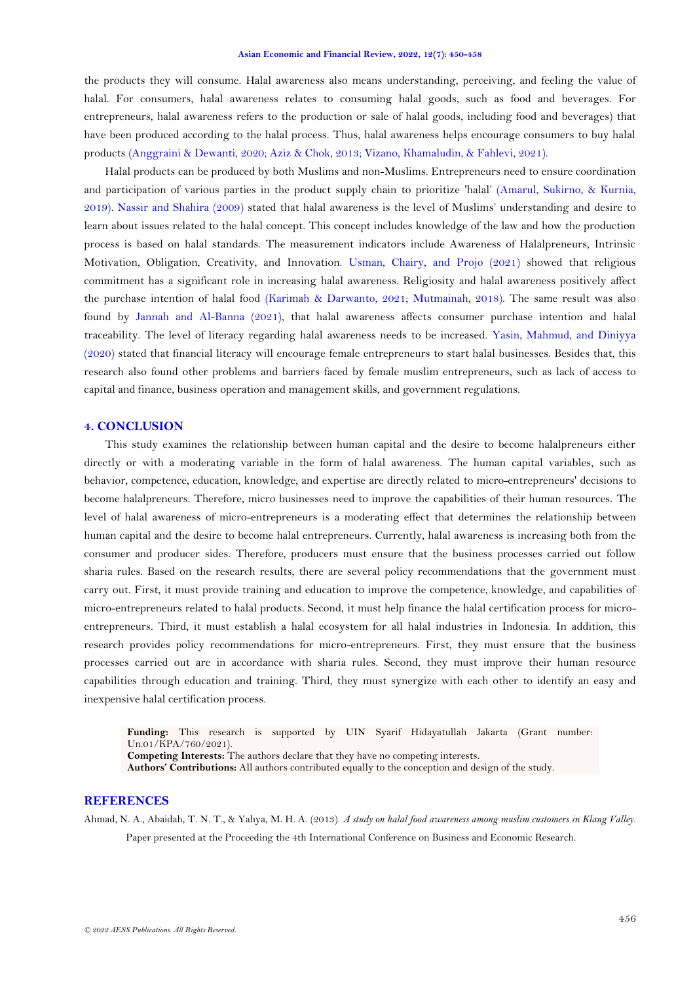#### **Asian Economic and Financial Review, 2022, 12(7): 450-458**

the products they will consume. Halal awareness also means understanding, perceiving, and feeling the value of halal. For consumers, halal awareness relates to consuming halal goods, such as food and beverages. For entrepreneurs, halal awareness refers to the production or sale of halal goods, including food and beverages) that have been produced according to the halal process. Thus, halal awareness helps encourage consumers to buy halal products [\(Anggraini & Dewanti, 2020;](#page-7-13) [Aziz & Chok, 2013;](#page-7-14) [Vizano, Khamaludin, & Fahlevi, 2021\)](#page-8-14).

Halal products can be produced by both Muslims and non-Muslims. Entrepreneurs need to ensure coordination and participation of various parties in the product supply chain to prioritize 'halal' [\(Amarul, Sukirno, & Kurnia,](#page-7-15)  [2019\)](#page-7-15). [Nassir and Shahira \(2009\)](#page-7-8) stated that halal awareness is the level of Muslims' understanding and desire to learn about issues related to the halal concept. This concept includes knowledge of the law and how the production process is based on halal standards. The measurement indicators include Awareness of Halalpreneurs, Intrinsic Motivation, Obligation, Creativity, and Innovation. [Usman, Chairy, and Projo \(2021\)](#page-8-15) showed that religious commitment has a significant role in increasing halal awareness. Religiosity and halal awareness positively affect the purchase intention of halal food [\(Karimah & Darwanto, 2021;](#page-7-16) [Mutmainah, 2018\)](#page-7-17). The same result was also found by [Jannah and Al-Banna \(2021\)](#page-7-18), that halal awareness affects consumer purchase intention and halal traceability. The level of literacy regarding halal awareness needs to be increased. [Yasin, Mahmud, and Diniyya](#page-8-16)  [\(2020\)](#page-8-16) stated that financial literacy will encourage female entrepreneurs to start halal businesses. Besides that, this research also found other problems and barriers faced by female muslim entrepreneurs, such as lack of access to capital and finance, business operation and management skills, and government regulations.

## **4. CONCLUSION**

This study examines the relationship between human capital and the desire to become halalpreneurs either directly or with a moderating variable in the form of halal awareness. The human capital variables, such as behavior, competence, education, knowledge, and expertise are directly related to micro-entrepreneurs' decisions to become halalpreneurs. Therefore, micro businesses need to improve the capabilities of their human resources. The level of halal awareness of micro-entrepreneurs is a moderating effect that determines the relationship between human capital and the desire to become halal entrepreneurs. Currently, halal awareness is increasing both from the consumer and producer sides. Therefore, producers must ensure that the business processes carried out follow sharia rules. Based on the research results, there are several policy recommendations that the government must carry out. First, it must provide training and education to improve the competence, knowledge, and capabilities of micro-entrepreneurs related to halal products. Second, it must help finance the halal certification process for microentrepreneurs. Third, it must establish a halal ecosystem for all halal industries in Indonesia. In addition, this research provides policy recommendations for micro-entrepreneurs. First, they must ensure that the business processes carried out are in accordance with sharia rules. Second, they must improve their human resource capabilities through education and training. Third, they must synergize with each other to identify an easy and inexpensive halal certification process.

**Funding:** This research is supported by UIN Syarif Hidayatullah Jakarta (Grant number: Un.01/KPA/760/2021).

**Competing Interests:** The authors declare that they have no competing interests.

**Authors' Contributions:** All authors contributed equally to the conception and design of the study.

## **REFERENCES**

<span id="page-6-0"></span>Ahmad, N. A., Abaidah, T. N. T., & Yahya, M. H. A. (2013). *A study on halal food awareness among muslim customers in Klang Valley.* Paper presented at the Proceeding the 4th International Conference on Business and Economic Research.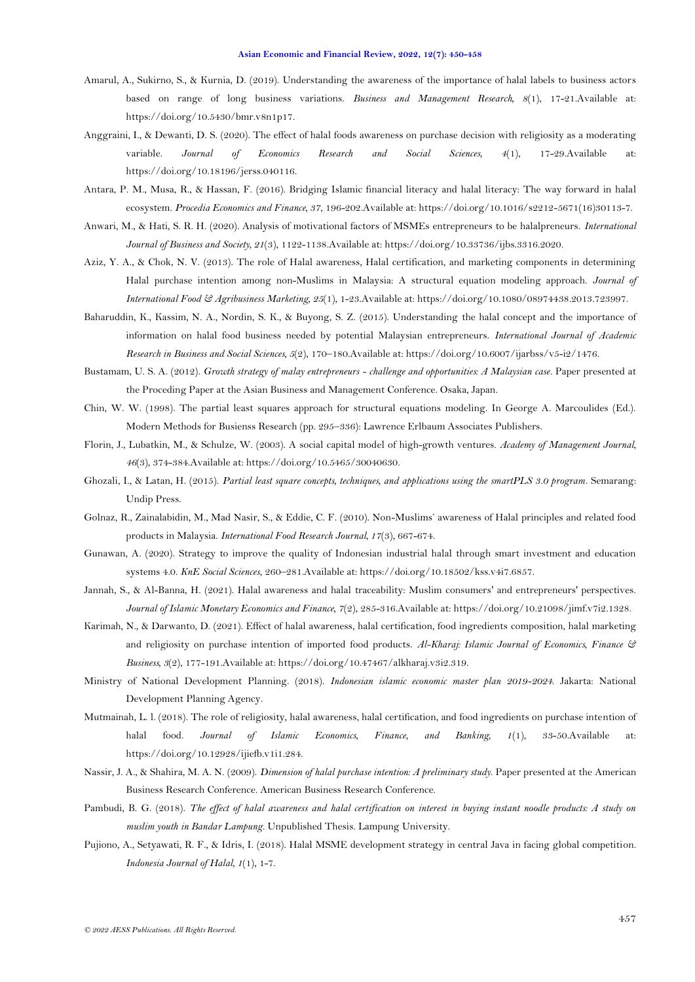- <span id="page-7-15"></span>Amarul, A., Sukirno, S., & Kurnia, D. (2019). Understanding the awareness of the importance of halal labels to business actors based on range of long business variations. *Business and Management Research, 8*(1), 17-21.Available at: https://doi.org/10.5430/bmr.v8n1p17.
- <span id="page-7-13"></span>Anggraini, I., & Dewanti, D. S. (2020). The effect of halal foods awareness on purchase decision with religiosity as a moderating variable. *Journal of Economics Research and Social Sciences, 4*(1), 17-29.Available at: https://doi.org/10.18196/jerss.040116.
- <span id="page-7-2"></span>Antara, P. M., Musa, R., & Hassan, F. (2016). Bridging Islamic financial literacy and halal literacy: The way forward in halal ecosystem. *Procedia Economics and Finance, 37*, 196-202.Available at: https://doi.org/10.1016/s2212-5671(16)30113-7.
- <span id="page-7-0"></span>Anwari, M., & Hati, S. R. H. (2020). Analysis of motivational factors of MSMEs entrepreneurs to be halalpreneurs. *International Journal of Business and Society, 21*(3), 1122-1138.Available at: https://doi.org/10.33736/ijbs.3316.2020.
- <span id="page-7-14"></span>Aziz, Y. A., & Chok, N. V. (2013). The role of Halal awareness, Halal certification, and marketing components in determining Halal purchase intention among non-Muslims in Malaysia: A structural equation modeling approach. *Journal of International Food & Agribusiness Marketing, 25*(1), 1-23.Available at: https://doi.org/10.1080/08974438.2013.723997.
- <span id="page-7-6"></span>Baharuddin, K., Kassim, N. A., Nordin, S. K., & Buyong, S. Z. (2015). Understanding the halal concept and the importance of information on halal food business needed by potential Malaysian entrepreneurs. *International Journal of Academic Research in Business and Social Sciences, 5*(2), 170–180.Available at: https://doi.org/10.6007/ijarbss/v5-i2/1476.
- <span id="page-7-11"></span>Bustamam, U. S. A. (2012). *Growth strategy of malay entrepreneurs - challenge and opportunities: A Malaysian case.* Paper presented at the Proceding Paper at the Asian Business and Management Conference. Osaka, Japan.
- <span id="page-7-10"></span>Chin, W. W. (1998). The partial least squares approach for structural equations modeling. In George A. Marcoulides (Ed.). Modern Methods for Busienss Research (pp. 295–336): Lawrence Erlbaum Associates Publishers.
- <span id="page-7-5"></span>Florin, J., Lubatkin, M., & Schulze, W. (2003). A social capital model of high-growth ventures. *Academy of Management Journal, 46*(3), 374-384.Available at: https://doi.org/10.5465/30040630.
- <span id="page-7-9"></span>Ghozali, I., & Latan, H. (2015). *Partial least square concepts, techniques, and applications using the smartPLS 3.0 program*. Semarang: Undip Press.
- <span id="page-7-7"></span>Golnaz, R., Zainalabidin, M., Mad Nasir, S., & Eddie, C. F. (2010). Non-Muslims' awareness of Halal principles and related food products in Malaysia. *International Food Research Journal, 17*(3), 667-674.
- <span id="page-7-3"></span>Gunawan, A. (2020). Strategy to improve the quality of Indonesian industrial halal through smart investment and education systems 4.0. *KnE Social Sciences*, 260–281.Available at: https://doi.org/10.18502/kss.v4i7.6857.
- <span id="page-7-18"></span>Jannah, S., & Al-Banna, H. (2021). Halal awareness and halal traceability: Muslim consumers' and entrepreneurs' perspectives. *Journal of Islamic Monetary Economics and Finance, 7*(2), 285-316.Available at: https://doi.org/10.21098/jimf.v7i2.1328.
- <span id="page-7-16"></span>Karimah, N., & Darwanto, D. (2021). Effect of halal awareness, halal certification, food ingredients composition, halal marketing and religiosity on purchase intention of imported food products. *Al-Kharaj: Islamic Journal of Economics, Finance & Business, 3*(2), 177-191.Available at: https://doi.org/10.47467/alkharaj.v3i2.319.
- <span id="page-7-1"></span>Ministry of National Development Planning. (2018). *Indonesian islamic economic master plan 2019-2024*. Jakarta: National Development Planning Agency.
- <span id="page-7-17"></span>Mutmainah, L. l. (2018). The role of religiosity, halal awareness, halal certification, and food ingredients on purchase intention of halal food. *Journal of Islamic Economics, Finance, and Banking, 1*(1), 33-50.Available at: https://doi.org/10.12928/ijiefb.v1i1.284.
- <span id="page-7-8"></span>Nassir, J. A., & Shahira, M. A. N. (2009). *Dimension of halal purchase intention: A preliminary study*. Paper presented at the American Business Research Conference. American Business Research Conference.
- <span id="page-7-12"></span>Pambudi, B. G. (2018). *The effect of halal awareness and halal certification on interest in buying instant noodle products: A study on muslim youth in Bandar Lampung.* Unpublished Thesis. Lampung University.
- <span id="page-7-4"></span>Pujiono, A., Setyawati, R. F., & Idris, I. (2018). Halal MSME development strategy in central Java in facing global competition. *Indonesia Journal of Halal, 1*(1), 1-7.